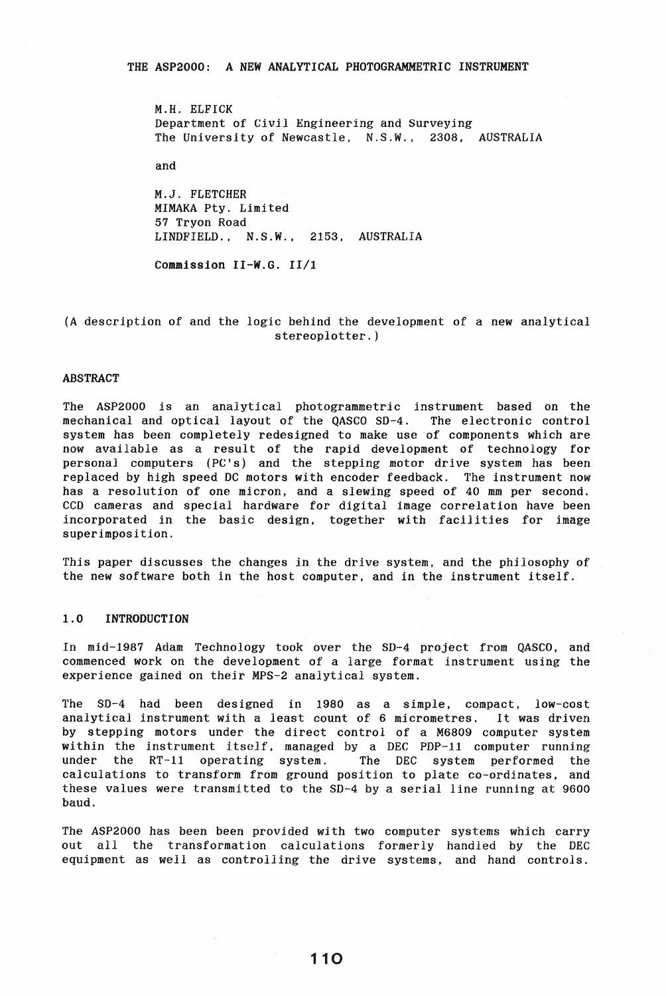M.H. ELFICK Department of Civil Engineering and Surveying The University of Newcastle. N.S.W., 2308, AUSTRALIA

and

M.J. FLETCHER MlMAKA Pty. Limited 57 Tryon Road LINDFIELD., N.S.W., 2153, AUSTRALIA

Commission II-W.G. II/I

# (A description of and the logic behind the development of a new analytical stereoplotter.)

# ABSTRACT

The ASP2000 is an analytical photogrammetric instrument based on the mechanical and optical layout of the QASCO SO-4. The electronic control system has been completely redesigned to make use of components which are now available as a result of the rapid development of technology for personal computers (PC's) and the stepping motor drive system has been replaced by high speed DC motors with encoder feedback. The instrument now has a resolution of one micron, and a slewing speed of 40 mm per second. CCD cameras and special hardware for digital image correlation have been incorporated in the basic design, together with facilities for image superimposition.

This paper discusses the changes in the drive system, and the philosophy of the new software both in the host computer, and in the instrument itself.

# 1,0 INTRODUCTION

In mid-1987 Adam Technology took over the SD-4 project from QASCO. and commenced work on the development of a large format instrument using the experience gained on their MPS-2 analytical system.

The SD-4 had been designed in 1980 as a simple, compact, low-cost analytical instrument with a least count of 6 micrometres. It was driven by stepping motors under the direct control of a M6809 computer system within the instrument itself, managed by a DEC PDP-11 computer running<br>under the RT-11 operating system. The DEC system performed the under the  $RT-11$  operating system. calculations to transform from ground position to plate co-ordinates, and these values were transmitted to the SD-4 by a serial line running at 9600 baud.

The ASP2000 has been been provided with two computer systems which carry out all the transformation calculations formerly handled by the DEC equipment as well as controlling the drive systems, and hand controls.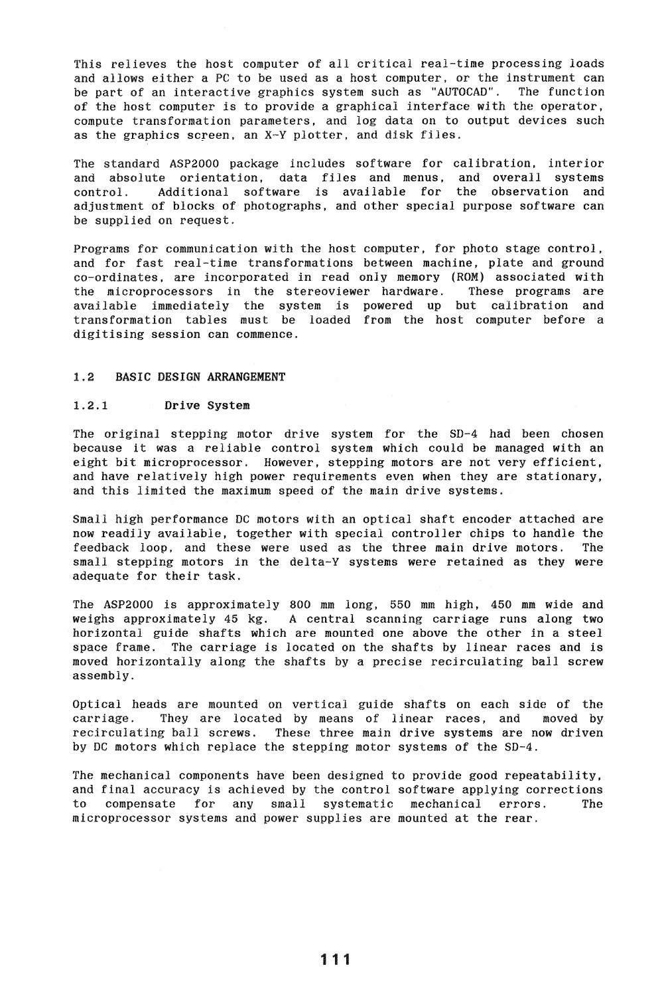This relieves the host computer of all critical real-time processing loads and allows either a PC to be used as a host computer, or the instrument can be part of an interactive graphics system such as "AUTOCAD". The function of the host computer is to provide a graphical interface with the operator, compute transformation parameters, and log data on to output devices such as the graphics screen, an X-V plotter, and disk files.

The standard ASP2000 package includes software for calibration, interior and absolute orientation, data files and menus, and overall systems control. Additional software is available for the observation and adjustment of blocks of photographs, and other special purpose software can be supplied on request.

Programs for communication with the host computer, for photo stage control. and for fast real-time transformations between machine, plate and ground co-ordinates. are incorporated in read only memory (ROM) associated wi th the microprocessors in the stereoviewer hardware. These programs are available immediately the system is powered up but calibration and transformation tables must be loaded from the host computer before a digitising session can commence.

# 1.2 BASIC DESIGN ARRANGEMENT

## 1.2.1 Drive System

The original stepping motor drive system for the SD-4 had been chosen because it was a reliable control system which could be managed with an eight bit microprocessor. However, stepping motors are not very efficient, and have relatively high power requirements even when they are stationary, and this limited the maximum speed of the main drive systems.

Small high performance DC motors with an optical shaft encoder attached are now readily available, together with special controller chips to handle the feedback loop. and these were used as the three main drive motors. The small stepping motors in the delta-Y systems were retained as they were adequate for their task.

The ASP2000 is approximately 800 mm long, 550 mm high, 450 mm wide and weighs approximately 45 kg. A central scanning carriage runs along two horizontal guide shafts which are mounted one above the other in a steel space frame. The carriage is located on the shafts by linear races and is moved horizontally along the shafts by a precise recirculating ball screw assembly.

Optical heads are mounted on vertical guide shafts on each side of the carriage. They are located by means of linear races, and moved by recirculating ball screws. These three main drive systems are now driven by DC motors which replace the stepping motor systems of the SD-4.

The mechanical components have been designed to provide good repeatability, and final accuracy is achieved by the control software applying corrections to compensate for any small systematic mechanical errors. The microprocessor systems and power supplies are mounted at the rear.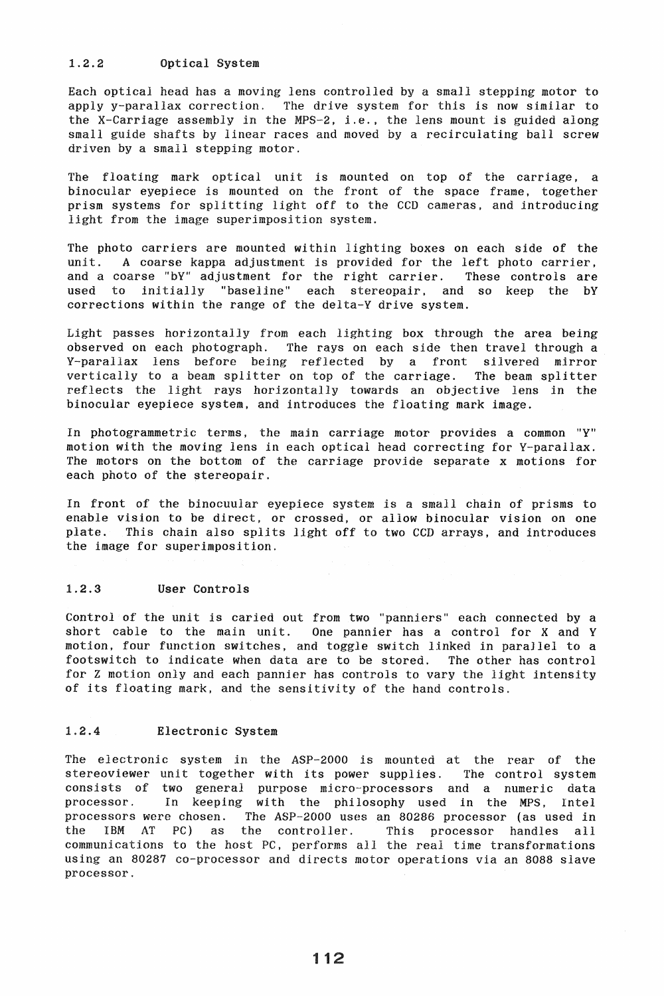### 1.2.2 Optical System

Each optical head has a moving lens controlled by a small stepping motor to apply y-parallax correction. The drive system for this is now similar to the X-Carriage assembly in the MPS-2, i.e., the lens mount is guided along small guide shafts by linear races and moved by a recirculating ball screw driven by a small stepping motor.

The floating mark optical unit is mounted on top of the carriage, a binocular eyepiece is mounted on the front of the space frame, together prism systems for splitting light off to the CGD cameras, and introducing light from the image superimposition system.

The photo carriers are mounted within lighting boxes on each side of the unit. A coarse kappa adjustment is provided for the left photo carrier, and a coarse "bY" adjustment for the right carrier. These controls are used to initially "baseline" each stereopair. and so keep the bY corrections within the range of the delta-Y drive system.

Light passes horizontally from each lighting box through the area being observed on each photograph. The rays on each side then travel through a Y-parallax lens before being reflected by a front silvered mirror vertically to a beam splitter on top of the carriage. The beam splitter reflects the light rays horizontally towards an objective lens in the binocular eyepiece system, and introduces the floating mark image.

In photogrammetric terms, the main carriage motor provides a common "Y" motion with the moving lens in each optical head correcting for V-parallax. The motors on the bottom of the carriage provide separate x motions for each photo of the stereopair.

In front of the binocuular eyepiece system is a small chain of prisms to enable vision to be direct, or crossed, or allow binocular vision on one plate. This chain also splits light off to two CCD arrays, and introduces the image for superimposition.

### 1.2.3 User Controls

Control of the unit is caried out from two "panniers" each connected by a short cable to the main unit. One pannier has a control for  $X$  and  $Y$ One pannier has a control for X and Y motion, four function switches, and toggle switch linked in parallel to a footswitch to indicate when data are to be stored. The other has control for Z motion only and each pannier has controls to vary the light intensity of its floating mark, and the sensitivity of the hand controls.

### 1.2.4 Electronic System

The electronic system in the ASP-2000 is mounted at the rear of the stereoviewer unit together with its power supplies. The control system consists of two general purpose micro-processors and a numeric data processor. In keeping with the philosophy used in the MPS, Intel processors were chosen. The ASP-2000 uses an 80286 processor (as used *in*  the IBM AT PC) as the controller. This processor handles all communications to the host PC, performs all the real time transformations using an 80287 co-processor and directs motor operations via an 8088 slave processor.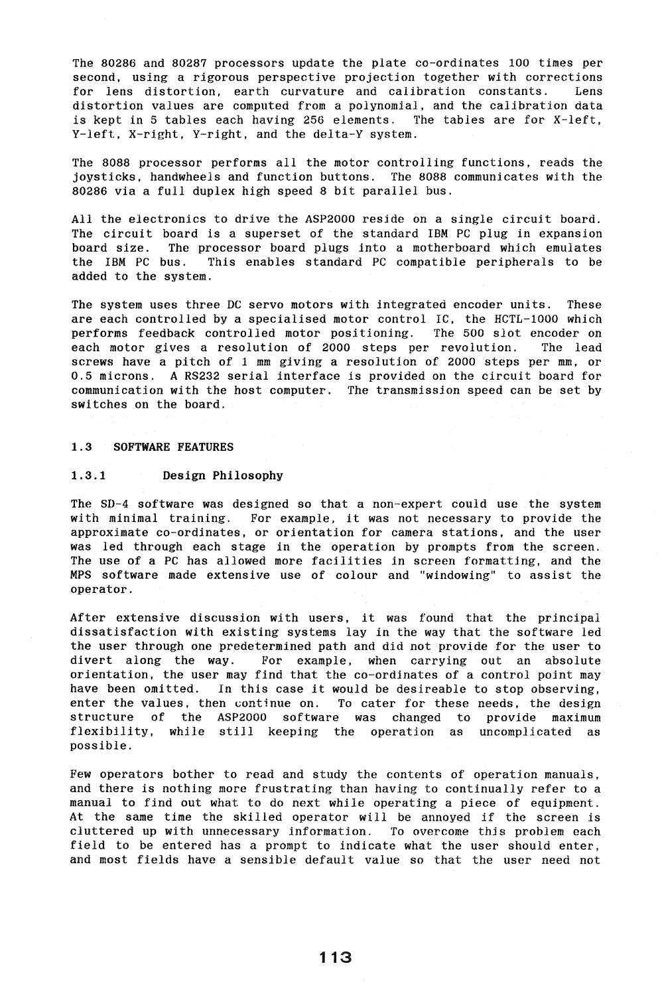The 80286 and 80287 processors update the plate co-ordinates 100 times per second, using a rigorous perspective projection together with corrections for lens distortion, earth curvature and calibration constants. Lens distortion values are computed from a polynomial. and the calibration data is kept in 5 tables each having 256 elements. The tables are for X-left, V-left. X-right, V-right, and the delta-Y system.

The 8088 processor performs all the motor controlling functions, reads the joysticks. handwheels and function buttons. The 8088 communicates with the 80286 via a full duplex high speed 8 bit parallel bus.

All the electronics to drive the ASP2000 reside on a single circuit board. The circuit board is a superset of the standard IBM PC plug in expansion board size. The processor board plugs into a motherboard which emulates the IBM PC bus. This enables standard PC compatible peripherals to be added to the system.

The system uses three DC servo motors with integrated encoder units. These are each controlled by a specialised motor control IC, the HCTL-I000 which performs feedback controlled motor positioning. The 500 slot encoder on each motor gives a resolution of 2000 steps per revolution. The lead screws have a pitch of 1 mm giving a resolution of 2000 steps per mm, or 0.5 microns. A RS232 serial interface is provided on the circuit board for communication with the host computer. The transmission speed can be set by switches on the board.

#### 1.3 SOFTWARE FEATURES

#### 1.3.1 Design Philosophy

The SD-4 software was designed so that a non-expert could use the system with minimal training. For example, it was not necessary to provide the approximate co-ordinates, or orientation for camera stations, and the user was led through each stage in the operation by prompts from the screen. The use of a PC has allowed more facilities in screen formatting, and the MPS software made extensive use of colour and "windowing" to assist the operator.

After extensive discussion with users, it was found that the principal dissatisfaction with existing systems lay in the way that the software led the user through one predetermined path and did not provide for the user to divert along the way. For example, when carrying out an absolute orientation, the user may find that the co-ordinates of a control point may have been omitted. In this case it would be desireable to stop observing, enter the values, then continue on. To cater for these needs, the design structure of the ASP2000 software was changed to provide maximum flexibility, while still keeping the operation as uncomplicated as possible.

Few operators bother to read and study the contents of operation manuals, and there is nothing more frustrating than having to continually refer to a manual to find out what to do next while operating a piece of equipment. At the same time the skilled operator will be annoyed if the screen is cluttered up with unnecessary information. To overcome this problem each field to be entered has a prompt to indicate what the user should enter, and most fields have a sensible default value so that the user need not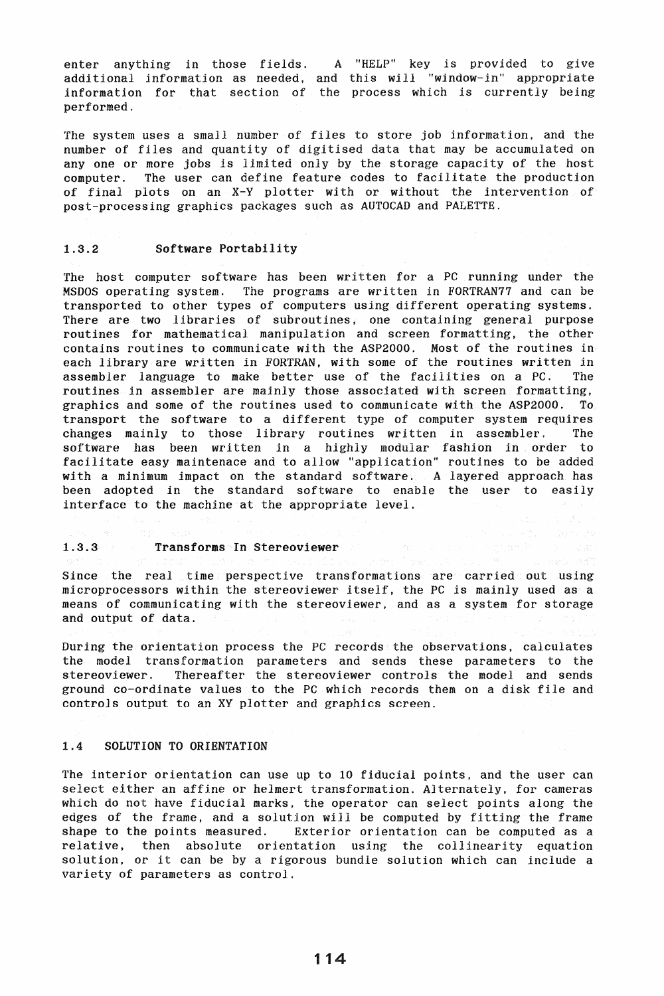enter anything in those fields. A "HELP" key is provided to give additional information as needed, and this will "window-in" appropriate information for that section of the process which is currently being performed.

The system uses a small number of files to store job information. and the number of files and quantity of digitised data that may be accumulated on anyone or more jobs is limited only by the storage capacity of the host computer. The user can define feature codes to facilitate the production of final plots on an  $X-Y$  plotter with or without the intervention of post-processing graphics packages such as AUTOCAD and PALETTE.

# 1.3.2 Software Portability

The host computer software has been written for a PC running under the MSDOS operating system. The programs are written in FORTRAN77 and can be transported to other types of computers using different operating systems. There are two libraries of subroutines, one containing general purpose routines for mathematical manipulation and screen formatting. the other contains routines to communicate with the ASP2000. Most of the routines in each library are written in FORTRAN. with some of the routines written in assembler language to make better use of the facilities on a PC. The routines in assembler are mainly those associated with screen formatting, graphics and some of the routines used to communicate with the ASP2000. To transport the software to a different type of computer system requires changes mainly to those library routines written in assembler. The software has been written in a highly modular fashion in order to facilitate easy maintenace and to allow "application" routines to be added with a minimum impact on the standard software. A layered approach has been adopted in the standard software to enable the user to easily interface to the machine at the appropriate level.

# 1.3.3 Transforms In Stereoviewer and the second of the state of the state of the state of the state of the state of the state of the state of the state of the state of the state of the state of the state of the state of th

Since the real time perspective transformations are carried out using microprocessors within the stereoviewer itself, the PC is mainly used as a means of communicating with the stereoviewer. and as a system for storage and output of data.

During the orientation process the PC records the observations, calculates the model transformation parameters and sends these parameters to the stereoviewer. Thereafter the stereoviewer controls the model and sends ground co-ordinate values to the PC which records them on a disk file and controls output to an XY plotter and graphics screen.

### 1.4 SOLUTION TO ORIENTATION

The interior orientation can use up to 10 fiducial points, and the user can select either an affine or helmert transformation. Alternately, for cameras which do not have fiducial marks, the operator can select points along the edges of the frame, and a solution will be computed by fitting the frame shape to the points measured. Exterior orientation can be computed as a Exterior orientation can be computed as a relative, then absolute orientation using the collinearity equation solution, or it can be by a rigorous bundle solution which can include a variety of parameters as control.

114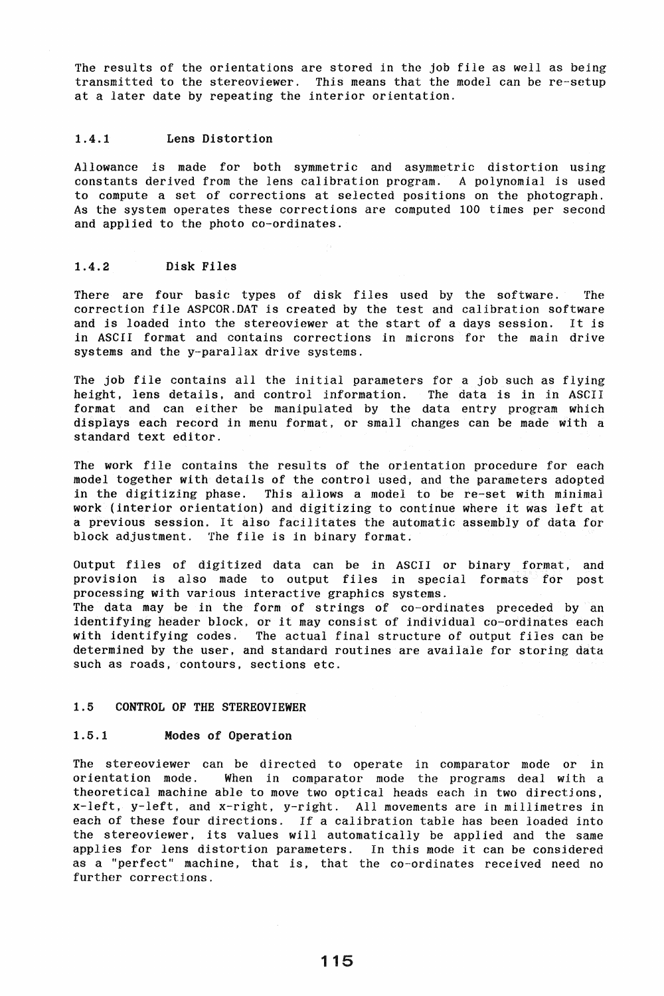The results of the orientations are stored in the job file as well as being transmitted to the stereoviewer. This means that the model can be re-setup at a later date by repeating the interior orientation.

# 1.4.1 Lens Distortion

Allowance *is* made for both symmetric and asymmetric distortion using constants derived from the lens calibration program. A polynomial is used to compute a set of corrections at selected positions on the photograph. As the system operates these corrections are computed 100 times per second and applied to the photo co-ordinates.

### 1.4.2 Disk Files

There are four basic types of disk files used by the software. The correction file ASPCOR.DAT is created by the test and calibration software and is loaded into the stereoviewer at the start of a days session. It is in ASCII format and contains corrections in microns for the main drive systems and the y-parallax drive systems.

The job file contains all the initial parameters for a job such as flying height, lens details, and control information. The data is in in ASCII format and can either be manipulated by the data entry program which displays each record in menu format. or small changes can be made with a standard text editor.

The work file contains the results of the orientation procedure for each model together with details of the control used, and the parameters adopted in the digitizing phase. This allows a model to be re-set with minimal work (interior orientation) and digitizing to continue where it was left at a previous session. It also facilitates the automatic assembly of data for block adjustment. The file is in binary format.

Output files of digitized data can be in ASCII or binary format. and provision is also made to output files in special formats for post processing with various interactive graphics systems. The data may be in the form of strings of co-ordinates preceded by an identifying header block, or it may consist of individual co-ordinates each with identifying codes. The actual final structure of output files can be determined by the user, and standard routines are availale for storing data such as roads, contours, sections etc.

#### 1.5 CONTROL OF THE STEREOVIEWER

### 1.5.1 Modes of Operation

The stereoviewer can be directed to operate in comparator mode or in orientation mode. When in comparator mode the programs deal with a theoretical machine able to move two optical heads each in two directjons, x-left, y-left. and x-right, y-right. All movements are in millimetres in each of these four directions. If a calibration table has been loaded into the stereoviewer. its values will automatically be applied and the same applies for lens distortion parameters. In this mode it can be considered as a "perfect" machine, that *is,* that the co-ordinates received need no further corrections.